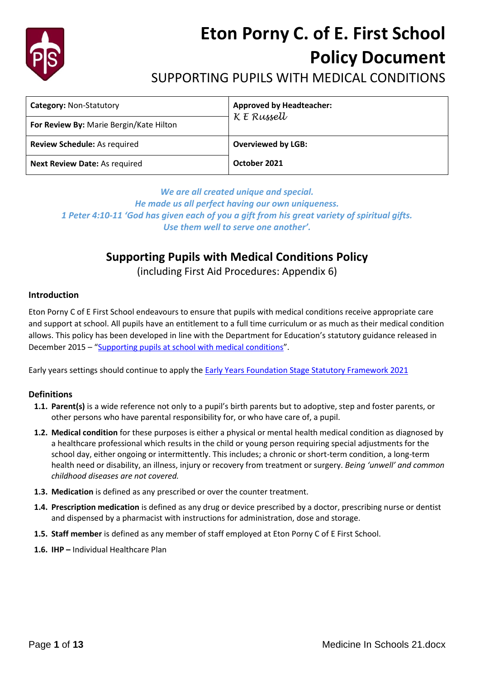

# **Eton Porny C. of E. First School Policy Document**

# SUPPORTING PUPILS WITH MEDICAL CONDITIONS

| <b>Category: Non-Statutory</b>          | <b>Approved by Headteacher:</b><br>K E Russell |
|-----------------------------------------|------------------------------------------------|
| For Review By: Marie Bergin/Kate Hilton |                                                |
| Review Schedule: As required            | <b>Overviewed by LGB:</b>                      |
| <b>Next Review Date: As required</b>    | October 2021                                   |

*We are all created unique and special. He made us all perfect having our own uniqueness. 1 Peter 4:10-11 'God has given each of you a gift from his great variety of spiritual gifts. Use them well to serve one another'.*

# **Supporting Pupils with Medical Conditions Policy**

(including First Aid Procedures: Appendix 6)

## **Introduction**

Eton Porny C of E First School endeavours to ensure that pupils with medical conditions receive appropriate care and support at school. All pupils have an entitlement to a full time curriculum or as much as their medical condition allows. This policy has been developed in line with the Department for Education's statutory guidance released in December 2015 – "[Supporting pupils at school with medical conditions](https://www.gov.uk/government/uploads/system/uploads/attachment_data/file/638267/supporting-pupils-at-school-with-medical-conditions.pdf)".

Early years settings should continue to apply the [Early Years Foundation Stage Statutory Framework 2021](https://www.gov.uk/government/publications/early-years-foundation-stage-framework--2)

## **Definitions**

- **1.1. Parent(s)** is a wide reference not only to a pupil's birth parents but to adoptive, step and foster parents, or other persons who have parental responsibility for, or who have care of, a pupil.
- **1.2. Medical condition** for these purposes is either a physical or mental health medical condition as diagnosed by a healthcare professional which results in the child or young person requiring special adjustments for the school day, either ongoing or intermittently. This includes; a chronic or short-term condition, a long-term health need or disability, an illness, injury or recovery from treatment or surgery. *Being 'unwell' and common childhood diseases are not covered.*
- **1.3. Medication** is defined as any prescribed or over the counter treatment.
- **1.4. Prescription medication** is defined as any drug or device prescribed by a doctor, prescribing nurse or dentist and dispensed by a pharmacist with instructions for administration, dose and storage.
- **1.5. Staff member** is defined as any member of staff employed at Eton Porny C of E First School.
- **1.6. IHP –** Individual Healthcare Plan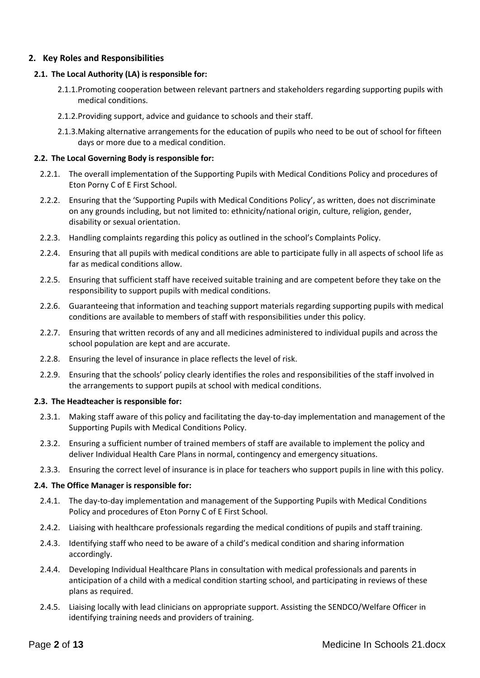## **2. Key Roles and Responsibilities**

# **2.1. The Local Authority (LA) is responsible for:**

- 2.1.1.Promoting cooperation between relevant partners and stakeholders regarding supporting pupils with medical conditions.
- 2.1.2.Providing support, advice and guidance to schools and their staff.
- 2.1.3.Making alternative arrangements for the education of pupils who need to be out of school for fifteen days or more due to a medical condition.

# **2.2. The Local Governing Body is responsible for:**

- 2.2.1. The overall implementation of the Supporting Pupils with Medical Conditions Policy and procedures of Eton Porny C of E First School.
- 2.2.2. Ensuring that the 'Supporting Pupils with Medical Conditions Policy', as written, does not discriminate on any grounds including, but not limited to: ethnicity/national origin, culture, religion, gender, disability or sexual orientation.
- 2.2.3. Handling complaints regarding this policy as outlined in the school's Complaints Policy.
- 2.2.4. Ensuring that all pupils with medical conditions are able to participate fully in all aspects of school life as far as medical conditions allow.
- 2.2.5. Ensuring that sufficient staff have received suitable training and are competent before they take on the responsibility to support pupils with medical conditions.
- 2.2.6. Guaranteeing that information and teaching support materials regarding supporting pupils with medical conditions are available to members of staff with responsibilities under this policy.
- 2.2.7. Ensuring that written records of any and all medicines administered to individual pupils and across the school population are kept and are accurate.
- 2.2.8. Ensuring the level of insurance in place reflects the level of risk.
- 2.2.9. Ensuring that the schools' policy clearly identifies the roles and responsibilities of the staff involved in the arrangements to support pupils at school with medical conditions.

# **2.3. The Headteacher is responsible for:**

- 2.3.1. Making staff aware of this policy and facilitating the day-to-day implementation and management of the Supporting Pupils with Medical Conditions Policy.
- 2.3.2. Ensuring a sufficient number of trained members of staff are available to implement the policy and deliver Individual Health Care Plans in normal, contingency and emergency situations.
- 2.3.3. Ensuring the correct level of insurance is in place for teachers who support pupils in line with this policy.

# **2.4. The Office Manager is responsible for:**

- 2.4.1. The day-to-day implementation and management of the Supporting Pupils with Medical Conditions Policy and procedures of Eton Porny C of E First School.
- 2.4.2. Liaising with healthcare professionals regarding the medical conditions of pupils and staff training.
- 2.4.3. Identifying staff who need to be aware of a child's medical condition and sharing information accordingly.
- 2.4.4. Developing Individual Healthcare Plans in consultation with medical professionals and parents in anticipation of a child with a medical condition starting school, and participating in reviews of these plans as required.
- 2.4.5. Liaising locally with lead clinicians on appropriate support. Assisting the SENDCO/Welfare Officer in identifying training needs and providers of training.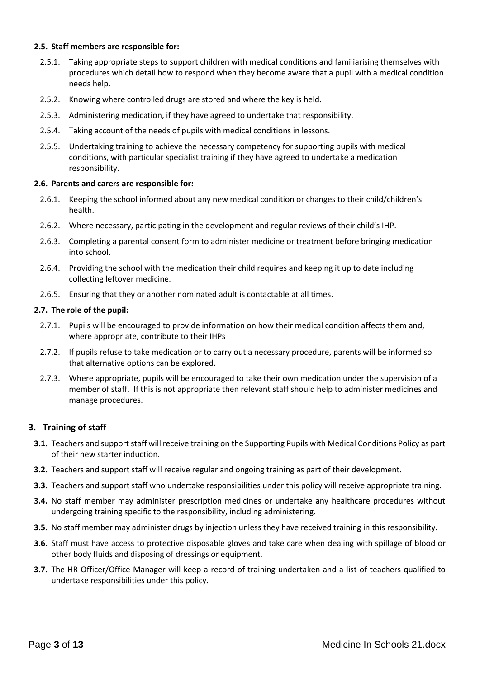#### **2.5. Staff members are responsible for:**

- 2.5.1. Taking appropriate steps to support children with medical conditions and familiarising themselves with procedures which detail how to respond when they become aware that a pupil with a medical condition needs help.
- 2.5.2. Knowing where controlled drugs are stored and where the key is held.
- 2.5.3. Administering medication, if they have agreed to undertake that responsibility.
- 2.5.4. Taking account of the needs of pupils with medical conditions in lessons.
- 2.5.5. Undertaking training to achieve the necessary competency for supporting pupils with medical conditions, with particular specialist training if they have agreed to undertake a medication responsibility.

#### **2.6. Parents and carers are responsible for:**

- 2.6.1. Keeping the school informed about any new medical condition or changes to their child/children's health.
- 2.6.2. Where necessary, participating in the development and regular reviews of their child's IHP.
- 2.6.3. Completing a parental consent form to administer medicine or treatment before bringing medication into school.
- 2.6.4. Providing the school with the medication their child requires and keeping it up to date including collecting leftover medicine.
- 2.6.5. Ensuring that they or another nominated adult is contactable at all times.

#### **2.7. The role of the pupil:**

- 2.7.1. Pupils will be encouraged to provide information on how their medical condition affects them and, where appropriate, contribute to their IHPs
- 2.7.2. If pupils refuse to take medication or to carry out a necessary procedure, parents will be informed so that alternative options can be explored.
- 2.7.3. Where appropriate, pupils will be encouraged to take their own medication under the supervision of a member of staff. If this is not appropriate then relevant staff should help to administer medicines and manage procedures.

## **3. Training of staff**

- **3.1.** Teachers and support staff will receive training on the Supporting Pupils with Medical Conditions Policy as part of their new starter induction.
- **3.2.** Teachers and support staff will receive regular and ongoing training as part of their development.
- **3.3.** Teachers and support staff who undertake responsibilities under this policy will receive appropriate training.
- **3.4.** No staff member may administer prescription medicines or undertake any healthcare procedures without undergoing training specific to the responsibility, including administering.
- **3.5.** No staff member may administer drugs by injection unless they have received training in this responsibility.
- **3.6.** Staff must have access to protective disposable gloves and take care when dealing with spillage of blood or other body fluids and disposing of dressings or equipment.
- **3.7.** The HR Officer/Office Manager will keep a record of training undertaken and a list of teachers qualified to undertake responsibilities under this policy.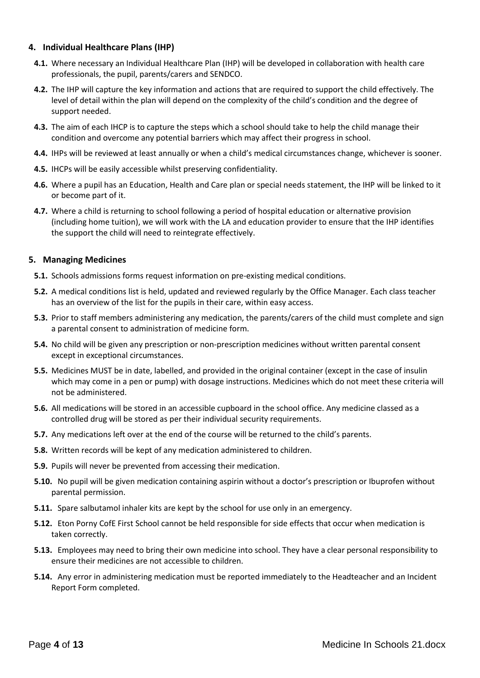## **4. Individual Healthcare Plans (IHP)**

- **4.1.** Where necessary an Individual Healthcare Plan (IHP) will be developed in collaboration with health care professionals, the pupil, parents/carers and SENDCO.
- **4.2.** The IHP will capture the key information and actions that are required to support the child effectively. The level of detail within the plan will depend on the complexity of the child's condition and the degree of support needed.
- **4.3.** The aim of each IHCP is to capture the steps which a school should take to help the child manage their condition and overcome any potential barriers which may affect their progress in school.
- **4.4.** IHPs will be reviewed at least annually or when a child's medical circumstances change, whichever is sooner.
- **4.5.** IHCPs will be easily accessible whilst preserving confidentiality.
- **4.6.** Where a pupil has an Education, Health and Care plan or special needs statement, the IHP will be linked to it or become part of it.
- **4.7.** Where a child is returning to school following a period of hospital education or alternative provision (including home tuition), we will work with the LA and education provider to ensure that the IHP identifies the support the child will need to reintegrate effectively.

#### **5. Managing Medicines**

- **5.1.** Schools admissions forms request information on pre-existing medical conditions.
- **5.2.** A medical conditions list is held, updated and reviewed regularly by the Office Manager. Each class teacher has an overview of the list for the pupils in their care, within easy access.
- **5.3.** Prior to staff members administering any medication, the parents/carers of the child must complete and sign a parental consent to administration of medicine form.
- **5.4.** No child will be given any prescription or non-prescription medicines without written parental consent except in exceptional circumstances.
- **5.5.** Medicines MUST be in date, labelled, and provided in the original container (except in the case of insulin which may come in a pen or pump) with dosage instructions. Medicines which do not meet these criteria will not be administered.
- **5.6.** All medications will be stored in an accessible cupboard in the school office. Any medicine classed as a controlled drug will be stored as per their individual security requirements.
- **5.7.** Any medications left over at the end of the course will be returned to the child's parents.
- **5.8.** Written records will be kept of any medication administered to children.
- **5.9.** Pupils will never be prevented from accessing their medication.
- **5.10.** No pupil will be given medication containing aspirin without a doctor's prescription or Ibuprofen without parental permission.
- **5.11.** Spare salbutamol inhaler kits are kept by the school for use only in an emergency.
- **5.12.** Eton Porny CofE First School cannot be held responsible for side effects that occur when medication is taken correctly.
- **5.13.** Employees may need to bring their own medicine into school. They have a clear personal responsibility to ensure their medicines are not accessible to children.
- **5.14.** Any error in administering medication must be reported immediately to the Headteacher and an Incident Report Form completed.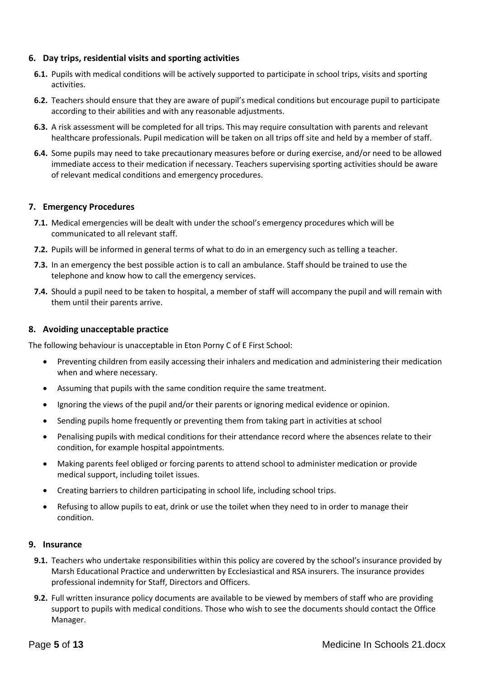## **6. Day trips, residential visits and sporting activities**

- **6.1.** Pupils with medical conditions will be actively supported to participate in school trips, visits and sporting activities.
- **6.2.** Teachers should ensure that they are aware of pupil's medical conditions but encourage pupil to participate according to their abilities and with any reasonable adjustments.
- **6.3.** A risk assessment will be completed for all trips. This may require consultation with parents and relevant healthcare professionals. Pupil medication will be taken on all trips off site and held by a member of staff.
- **6.4.** Some pupils may need to take precautionary measures before or during exercise, and/or need to be allowed immediate access to their medication if necessary. Teachers supervising sporting activities should be aware of relevant medical conditions and emergency procedures.

#### **7. Emergency Procedures**

- **7.1.** Medical emergencies will be dealt with under the school's emergency procedures which will be communicated to all relevant staff.
- **7.2.** Pupils will be informed in general terms of what to do in an emergency such as telling a teacher.
- **7.3.** In an emergency the best possible action is to call an ambulance. Staff should be trained to use the telephone and know how to call the emergency services.
- **7.4.** Should a pupil need to be taken to hospital, a member of staff will accompany the pupil and will remain with them until their parents arrive.

#### **8. Avoiding unacceptable practice**

The following behaviour is unacceptable in Eton Porny C of E First School:

- Preventing children from easily accessing their inhalers and medication and administering their medication when and where necessary.
- Assuming that pupils with the same condition require the same treatment.
- Ignoring the views of the pupil and/or their parents or ignoring medical evidence or opinion.
- Sending pupils home frequently or preventing them from taking part in activities at school
- Penalising pupils with medical conditions for their attendance record where the absences relate to their condition, for example hospital appointments.
- Making parents feel obliged or forcing parents to attend school to administer medication or provide medical support, including toilet issues.
- Creating barriers to children participating in school life, including school trips.
- Refusing to allow pupils to eat, drink or use the toilet when they need to in order to manage their condition.

#### **9. Insurance**

- **9.1.** Teachers who undertake responsibilities within this policy are covered by the school's insurance provided by Marsh Educational Practice and underwritten by Ecclesiastical and RSA insurers. The insurance provides professional indemnity for Staff, Directors and Officers.
- **9.2.** Full written insurance policy documents are available to be viewed by members of staff who are providing support to pupils with medical conditions. Those who wish to see the documents should contact the Office Manager.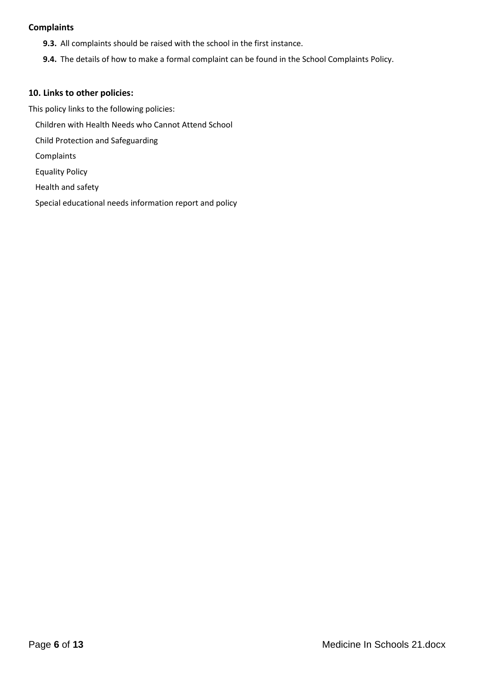## **Complaints**

- **9.3.** All complaints should be raised with the school in the first instance.
- **9.4.** The details of how to make a formal complaint can be found in the School Complaints Policy.

## **10. Links to other policies:**

This policy links to the following policies: Children with Health Needs who Cannot Attend School Child Protection and Safeguarding Complaints Equality Policy Health and safety

Special educational needs information report and policy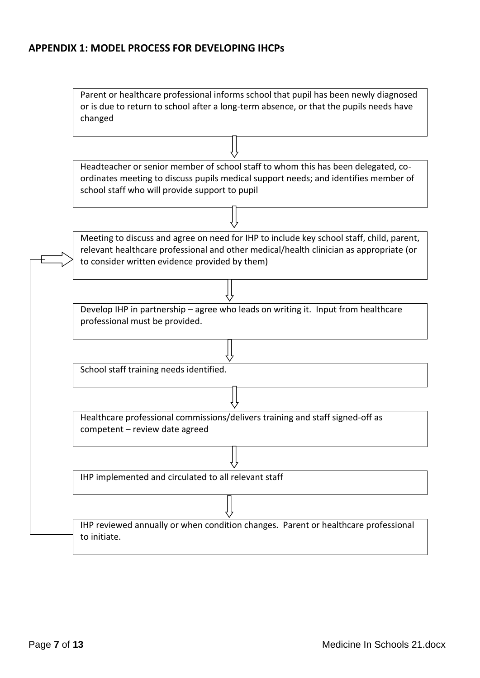# **APPENDIX 1: MODEL PROCESS FOR DEVELOPING IHCPs**

| Parent or healthcare professional informs school that pupil has been newly diagnosed<br>or is due to return to school after a long-term absence, or that the pupils needs have<br>changed                                            |  |  |
|--------------------------------------------------------------------------------------------------------------------------------------------------------------------------------------------------------------------------------------|--|--|
|                                                                                                                                                                                                                                      |  |  |
| Headteacher or senior member of school staff to whom this has been delegated, co-<br>ordinates meeting to discuss pupils medical support needs; and identifies member of<br>school staff who will provide support to pupil           |  |  |
|                                                                                                                                                                                                                                      |  |  |
| Meeting to discuss and agree on need for IHP to include key school staff, child, parent,<br>relevant healthcare professional and other medical/health clinician as appropriate (or<br>to consider written evidence provided by them) |  |  |
|                                                                                                                                                                                                                                      |  |  |
| Develop IHP in partnership - agree who leads on writing it. Input from healthcare<br>professional must be provided.                                                                                                                  |  |  |
|                                                                                                                                                                                                                                      |  |  |
| School staff training needs identified.                                                                                                                                                                                              |  |  |
|                                                                                                                                                                                                                                      |  |  |
| Healthcare professional commissions/delivers training and staff signed-off as<br>competent - review date agreed                                                                                                                      |  |  |
|                                                                                                                                                                                                                                      |  |  |
| IHP implemented and circulated to all relevant staff                                                                                                                                                                                 |  |  |
|                                                                                                                                                                                                                                      |  |  |
| IHP reviewed annually or when condition changes. Parent or healthcare professional<br>to initiate.                                                                                                                                   |  |  |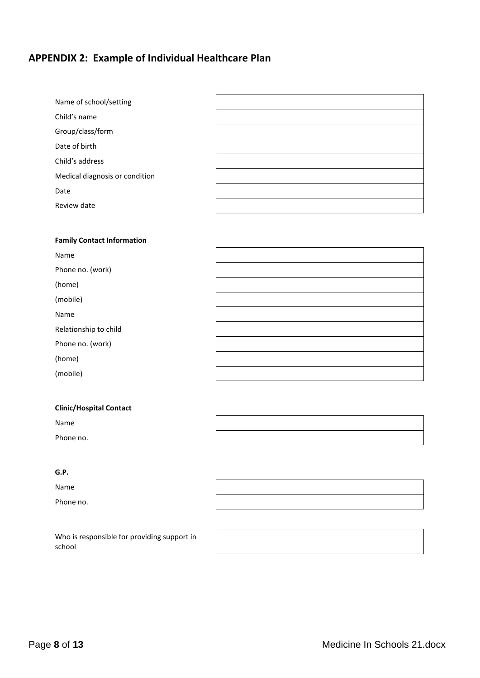# **APPENDIX 2: Example of Individual Healthcare Plan**

| Name of school/setting         |  |
|--------------------------------|--|
| Child's name                   |  |
| Group/class/form               |  |
| Date of birth                  |  |
| Child's address                |  |
| Medical diagnosis or condition |  |
| Date                           |  |
| Review date                    |  |
|                                |  |

#### **Family Contact Information**

| Name                  |  |
|-----------------------|--|
| Phone no. (work)      |  |
| (home)                |  |
| (mobile)              |  |
| Name                  |  |
| Relationship to child |  |
| Phone no. (work)      |  |
| (home)                |  |
| (mobile)              |  |

#### **Clinic/Hospital Contact**

Name

Phone no.

## **G.P.**

Name

Phone no.

| <u> The Communication of the Communication of the Communication of the Communication of the Communication of the Communication of the Communication of the Communication of the Communication of the Communication of the Commun</u> |  |
|--------------------------------------------------------------------------------------------------------------------------------------------------------------------------------------------------------------------------------------|--|
|                                                                                                                                                                                                                                      |  |
|                                                                                                                                                                                                                                      |  |
|                                                                                                                                                                                                                                      |  |
|                                                                                                                                                                                                                                      |  |
|                                                                                                                                                                                                                                      |  |
|                                                                                                                                                                                                                                      |  |
|                                                                                                                                                                                                                                      |  |
|                                                                                                                                                                                                                                      |  |

Who is responsible for providing support in school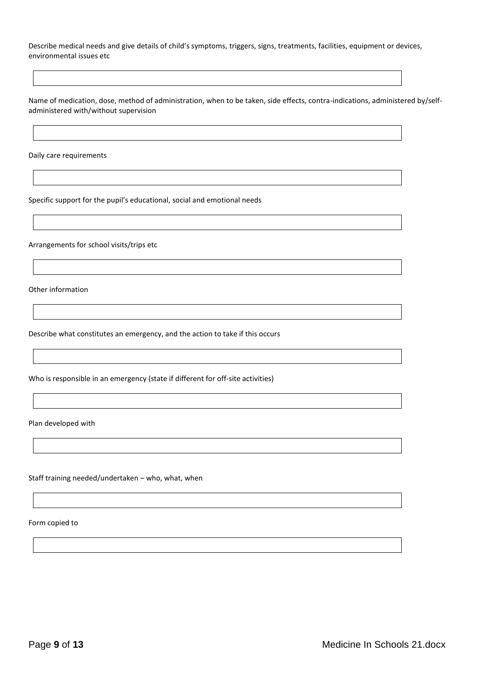Describe medical needs and give details of child's symptoms, triggers, signs, treatments, facilities, equipment or devices, environmental issues etc

Name of medication, dose, method of administration, when to be taken, side effects, contra-indications, administered by/selfadministered with/without supervision

Daily care requirements

Specific support for the pupil's educational, social and emotional needs

Arrangements for school visits/trips etc

Other information

Describe what constitutes an emergency, and the action to take if this occurs

Who is responsible in an emergency (state if different for off-site activities)

Plan developed with

Staff training needed/undertaken – who, what, when

Form copied to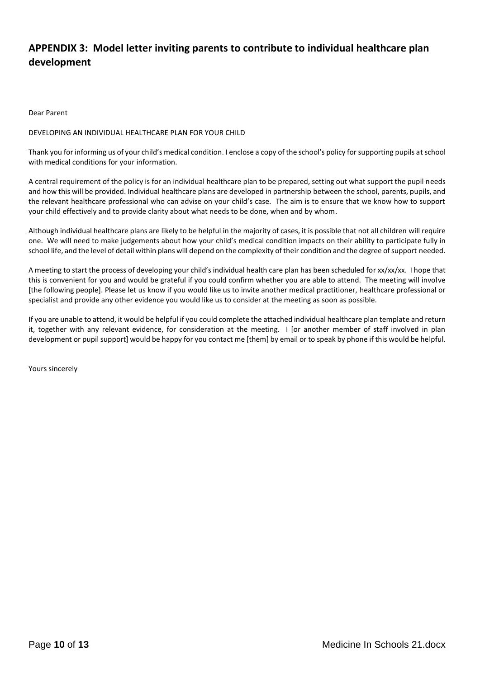# **APPENDIX 3: Model letter inviting parents to contribute to individual healthcare plan development**

Dear Parent

#### DEVELOPING AN INDIVIDUAL HEALTHCARE PLAN FOR YOUR CHILD

Thank you for informing us of your child's medical condition. I enclose a copy of the school's policy for supporting pupils at school with medical conditions for your information.

A central requirement of the policy is for an individual healthcare plan to be prepared, setting out what support the pupil needs and how this will be provided. Individual healthcare plans are developed in partnership between the school, parents, pupils, and the relevant healthcare professional who can advise on your child's case. The aim is to ensure that we know how to support your child effectively and to provide clarity about what needs to be done, when and by whom.

Although individual healthcare plans are likely to be helpful in the majority of cases, it is possible that not all children will require one. We will need to make judgements about how your child's medical condition impacts on their ability to participate fully in school life, and the level of detail within plans will depend on the complexity of their condition and the degree of support needed.

A meeting to start the process of developing your child's individual health care plan has been scheduled for xx/xx/xx. I hope that this is convenient for you and would be grateful if you could confirm whether you are able to attend. The meeting will involve [the following people]. Please let us know if you would like us to invite another medical practitioner, healthcare professional or specialist and provide any other evidence you would like us to consider at the meeting as soon as possible.

If you are unable to attend, it would be helpful if you could complete the attached individual healthcare plan template and return it, together with any relevant evidence, for consideration at the meeting. I [or another member of staff involved in plan development or pupil support] would be happy for you contact me [them] by email or to speak by phone if this would be helpful.

Yours sincerely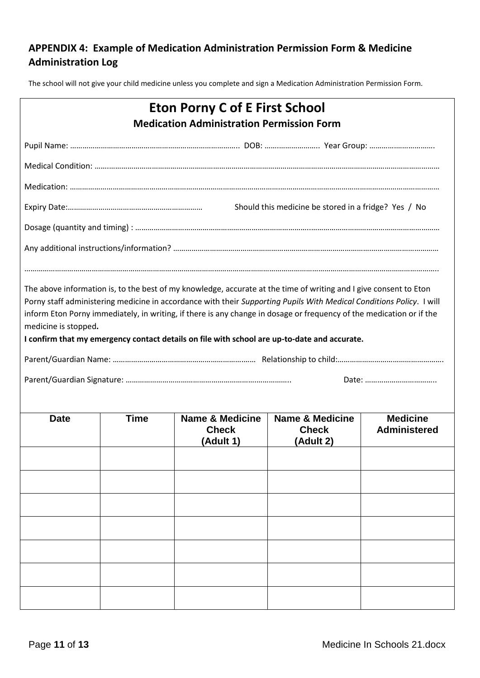# **APPENDIX 4: Example of Medication Administration Permission Form & Medicine Administration Log**

The school will not give your child medicine unless you complete and sign a Medication Administration Permission Form.

|                      |             | <b>Eton Porny C of E First School</b><br><b>Medication Administration Permission Form</b>    |                                                         |                                        |
|----------------------|-------------|----------------------------------------------------------------------------------------------|---------------------------------------------------------|----------------------------------------|
|                      |             |                                                                                              |                                                         |                                        |
|                      |             |                                                                                              |                                                         |                                        |
|                      |             |                                                                                              |                                                         |                                        |
|                      |             |                                                                                              | Should this medicine be stored in a fridge? Yes / No    |                                        |
|                      |             |                                                                                              |                                                         |                                        |
|                      |             |                                                                                              |                                                         |                                        |
| medicine is stopped. |             | I confirm that my emergency contact details on file with school are up-to-date and accurate. |                                                         |                                        |
| <b>Date</b>          | <b>Time</b> | <b>Name &amp; Medicine</b><br><b>Check</b><br>(Adult 1)                                      | <b>Name &amp; Medicine</b><br><b>Check</b><br>(Adult 2) | <b>Medicine</b><br><b>Administered</b> |
|                      |             |                                                                                              |                                                         |                                        |
|                      |             |                                                                                              |                                                         |                                        |
|                      |             |                                                                                              |                                                         |                                        |
|                      |             |                                                                                              |                                                         |                                        |
|                      |             |                                                                                              |                                                         |                                        |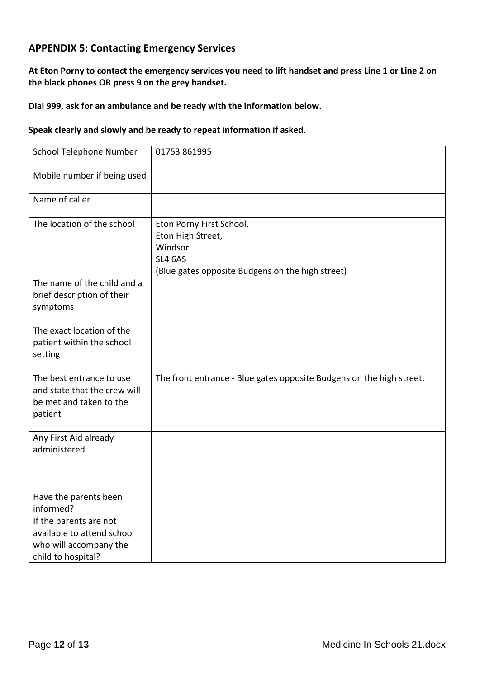# **APPENDIX 5: Contacting Emergency Services**

**At Eton Porny to contact the emergency services you need to lift handset and press Line 1 or Line 2 on the black phones OR press 9 on the grey handset.**

## **Dial 999, ask for an ambulance and be ready with the information below.**

## **Speak clearly and slowly and be ready to repeat information if asked.**

| School Telephone Number                                                                              | 01753 861995                                                                                                                   |
|------------------------------------------------------------------------------------------------------|--------------------------------------------------------------------------------------------------------------------------------|
| Mobile number if being used                                                                          |                                                                                                                                |
| Name of caller                                                                                       |                                                                                                                                |
| The location of the school                                                                           | Eton Porny First School,<br>Eton High Street,<br>Windsor<br><b>SL4 6AS</b><br>(Blue gates opposite Budgens on the high street) |
| The name of the child and a<br>brief description of their<br>symptoms                                |                                                                                                                                |
| The exact location of the<br>patient within the school<br>setting                                    |                                                                                                                                |
| The best entrance to use<br>and state that the crew will<br>be met and taken to the<br>patient       | The front entrance - Blue gates opposite Budgens on the high street.                                                           |
| Any First Aid already<br>administered                                                                |                                                                                                                                |
| Have the parents been<br>informed?                                                                   |                                                                                                                                |
| If the parents are not<br>available to attend school<br>who will accompany the<br>child to hospital? |                                                                                                                                |